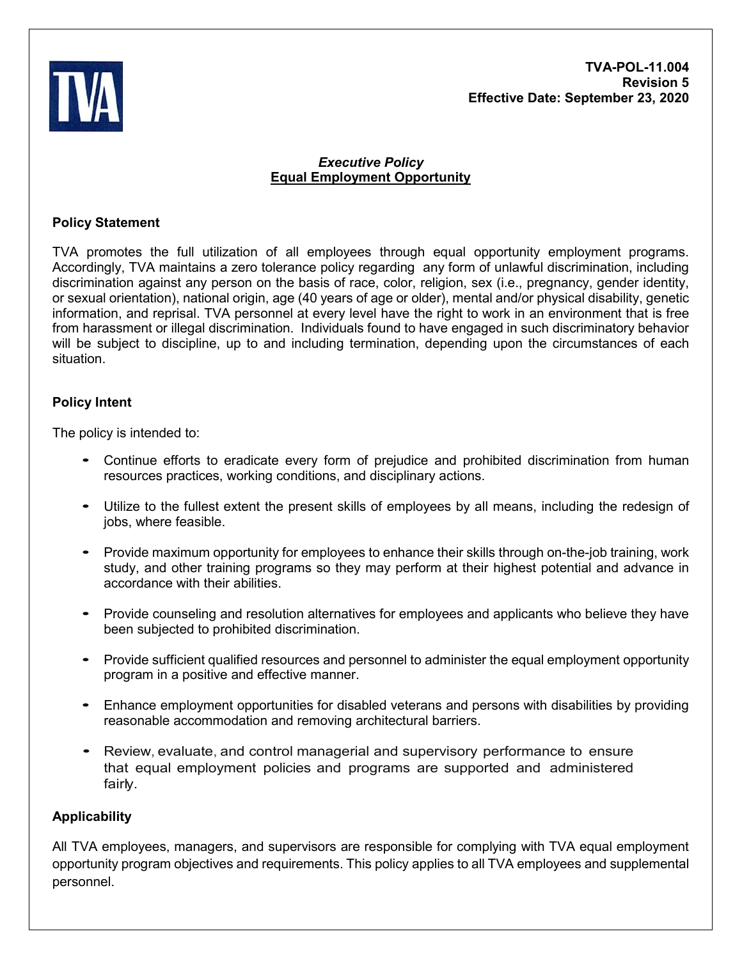**TVA-POL-11.004 Revision 5 Effective Date: September 23, 2020**



## *Executive Policy* **Equal Employment Opportunity**

## **Policy Statement**

TVA promotes the full utilization of all employees through equal opportunity employment programs. Accordingly, TVA maintains a zero tolerance policy regarding any form of unlawful discrimination, including discrimination against any person on the basis of race, color, religion, sex (i.e., pregnancy, gender identity, or sexual orientation), national origin, age (40 years of age or older), mental and/or physical disability, genetic information, and reprisal. TVA personnel at every level have the right to work in an environment that is free from harassment or illegal discrimination. Individuals found to have engaged in such discriminatory behavior will be subject to discipline, up to and including termination, depending upon the circumstances of each situation.

# **Policy Intent**

The policy is intended to:

- Continue efforts to eradicate every form of prejudice and prohibited discrimination from human resources practices, working conditions, and disciplinary actions.
- Utilize to the fullest extent the present skills of employees by all means, including the redesign of jobs, where feasible.
- Provide maximum opportunity for employees to enhance their skills through on-the-job training, work study, and other training programs so they may perform at their highest potential and advance in accordance with their abilities.
- Provide counseling and resolution alternatives for employees and applicants who believe they have been subjected to prohibited discrimination.
- Provide sufficient qualified resources and personnel to administer the equal employment opportunity program in a positive and effective manner.
- Enhance employment opportunities for disabled veterans and persons with disabilities by providing reasonable accommodation and removing architectural barriers.
- Review, evaluate, and control managerial and supervisory performance to ensure that equal employment policies and programs are supported and administered fairly.

# **Applicability**

All TVA employees, managers, and supervisors are responsible for complying with TVA equal employment opportunity program objectives and requirements. This policy applies to all TVA employees and supplemental personnel.